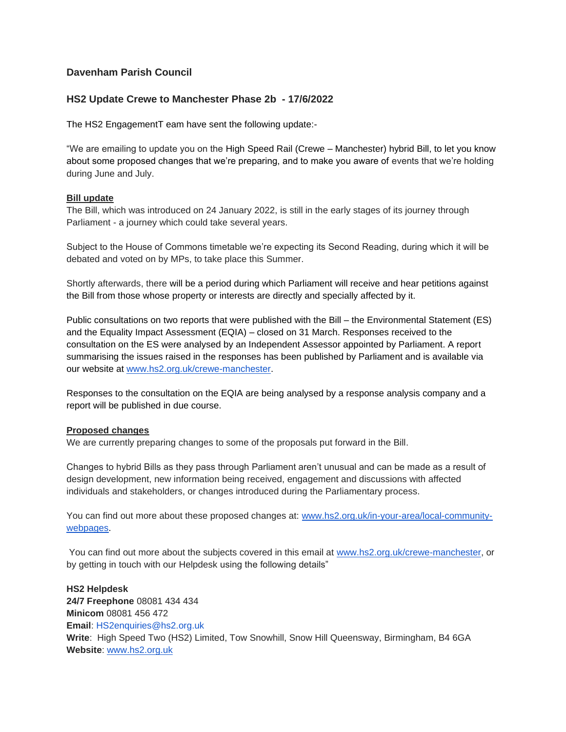## **Davenham Parish Council**

### **HS2 Update Crewe to Manchester Phase 2b - 17/6/2022**

The HS2 EngagementT eam have sent the following update:-

"We are emailing to update you on the High Speed Rail (Crewe – Manchester) hybrid Bill, to let you know about some proposed changes that we're preparing, and to make you aware of events that we're holding during June and July.

#### **Bill update**

The Bill, which was introduced on 24 January 2022, is still in the early stages of its journey through Parliament - a journey which could take several years.

Subject to the House of Commons timetable we're expecting its Second Reading, during which it will be debated and voted on by MPs, to take place this Summer.

Shortly afterwards, there will be a period during which Parliament will receive and hear petitions against the Bill from those whose property or interests are directly and specially affected by it.

Public consultations on two reports that were published with the Bill – the Environmental Statement (ES) and the Equality Impact Assessment (EQIA) – closed on 31 March. Responses received to the consultation on the ES were analysed by an Independent Assessor appointed by Parliament. A report summarising the issues raised in the responses has been published by Parliament and is available via our website at [www.hs2.org.uk/crewe-manchester.](http://www.hs2.org.uk/crewe-manchester)

Responses to the consultation on the EQIA are being analysed by a response analysis company and a report will be published in due course.

#### **Proposed changes**

We are currently preparing changes to some of the proposals put forward in the Bill.

Changes to hybrid Bills as they pass through Parliament aren't unusual and can be made as a result of design development, new information being received, engagement and discussions with affected individuals and stakeholders, or changes introduced during the Parliamentary process.

You can find out more about these proposed changes at: [www.hs2.org.uk/in-your-area/local-community](http://www.hs2.org.uk/in-your-area/local-community-webpages)[webpages.](http://www.hs2.org.uk/in-your-area/local-community-webpages)

You can find out more about the subjects covered in this email at [www.hs2.org.uk/crewe-manchester,](http://www.hs2.org.uk/crewe-manchester) or by getting in touch with our Helpdesk using the following details"

**HS2 Helpdesk 24/7 Freephone** 08081 434 434 **Minicom** 08081 456 472 **Email**: HS2enquiries@hs2.org.uk **Write**: High Speed Two (HS2) Limited, Tow Snowhill, Snow Hill Queensway, Birmingham, B4 6GA **Website**: [www.hs2.org.uk](http://www.hs2.org.uk/)